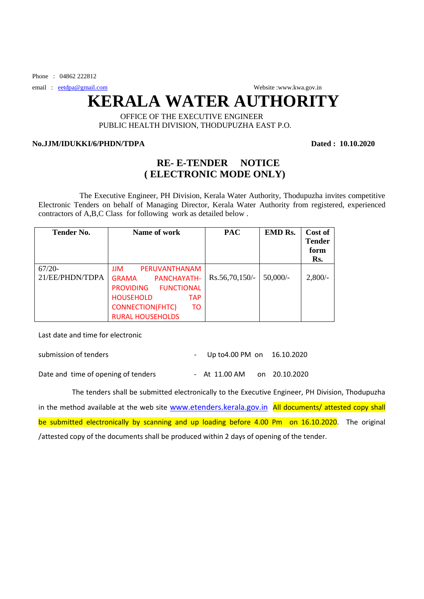Phone :  $0.4862\,222812$ 

email : [eetdpa@gmail.com](mailto:eetdpa@gmail.com) Website :[www.kwa.gov.in](http://www.kwa.gov.in/) Website :www.kwa.gov.in

## **KERALA WATER AUTHORITY**

## OFFICE OF THE EXECUTIVE ENGINEER PUBLIC HEALTH DIVISION, THODUPUZHA EAST P.O.

## **No.JJM/IDUKKI/6/PHDN/TDPA Dated : 10.10.2020**

## **RE- E-TENDER NOTICE ( ELECTRONIC MODE ONLY)**

 The Executive Engineer, PH Division, Kerala Water Authority, Thodupuzha invites competitive Electronic Tenders on behalf of Managing Director, Kerala Water Authority from registered, experienced contractors of A,B,C Class for following work as detailed below .

| <b>Tender No.</b>           | Name of work                                                                                                                                                                               | <b>PAC</b>       | <b>EMD Rs.</b> | Cost of<br><b>Tender</b><br>form<br>Rs. |
|-----------------------------|--------------------------------------------------------------------------------------------------------------------------------------------------------------------------------------------|------------------|----------------|-----------------------------------------|
| $67/20-$<br>21/EE/PHDN/TDPA | <b>JJM</b><br>PERUVANTHANAM<br><b>GRAMA</b><br>PANCHAYATH-<br><b>PROVIDING</b><br>FUNCTIONAL<br><b>HOUSEHOLD</b><br><b>TAP</b><br><b>CONNECTION(FHTC)</b><br>TO<br><b>RURAL HOUSEHOLDS</b> | $Rs.56,70,150/-$ | $50,000/-$     | $2,800/-$                               |

Last date and time for electronic

| submission of tenders               | - Up to 4.00 PM on $16.10.2020$ |  |               |  |
|-------------------------------------|---------------------------------|--|---------------|--|
| Date and time of opening of tenders | - At 11.00 AM                   |  | on 20.10.2020 |  |

 The tenders shall be submitted electronically to the Executive Engineer, PH Division, Thodupuzha in the method available at the web site [www.etenders.kerala.gov.in](file:///C:\Users\Water%20authority\Downloads\www.etenders.kerala.gov.in) All documents/ attested copy shall be submitted electronically by scanning and up loading before 4.00 Pm on 16.10.2020. The original /attested copy of the documents shall be produced within 2 days of opening of the tender.